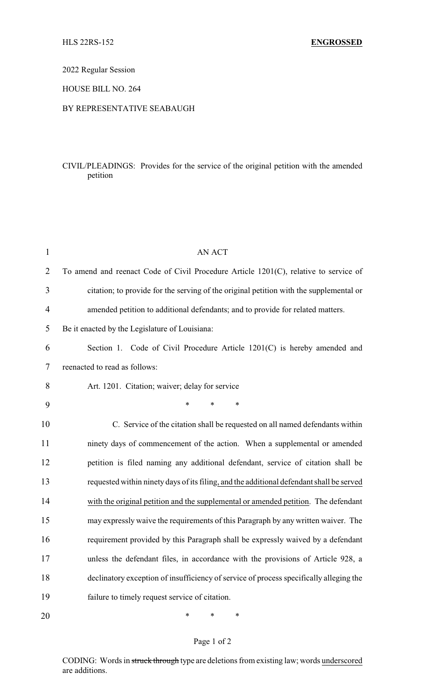### 2022 Regular Session

### HOUSE BILL NO. 264

#### BY REPRESENTATIVE SEABAUGH

## CIVIL/PLEADINGS: Provides for the service of the original petition with the amended petition

| $\mathbf{1}$ | <b>AN ACT</b>                                                                            |  |
|--------------|------------------------------------------------------------------------------------------|--|
| 2            | To amend and reenact Code of Civil Procedure Article 1201(C), relative to service of     |  |
| 3            | citation; to provide for the serving of the original petition with the supplemental or   |  |
| 4            | amended petition to additional defendants; and to provide for related matters.           |  |
| 5            | Be it enacted by the Legislature of Louisiana:                                           |  |
| 6            | Section 1. Code of Civil Procedure Article 1201(C) is hereby amended and                 |  |
| 7            | reenacted to read as follows:                                                            |  |
| 8            | Art. 1201. Citation; waiver; delay for service                                           |  |
| 9            | $\ast$<br>*<br>*                                                                         |  |
| 10           | C. Service of the citation shall be requested on all named defendants within             |  |
| 11           | ninety days of commencement of the action. When a supplemental or amended                |  |
| 12           | petition is filed naming any additional defendant, service of citation shall be          |  |
| 13           | requested within ninety days of its filing, and the additional defendant shall be served |  |
| 14           | with the original petition and the supplemental or amended petition. The defendant       |  |
| 15           | may expressly waive the requirements of this Paragraph by any written waiver. The        |  |
| 16           | requirement provided by this Paragraph shall be expressly waived by a defendant          |  |
| 17           | unless the defendant files, in accordance with the provisions of Article 928, a          |  |
| 18           | declinatory exception of insufficiency of service of process specifically alleging the   |  |
| 19           | failure to timely request service of citation.                                           |  |
| 20           | *<br>∗<br>∗                                                                              |  |

# Page 1 of 2

CODING: Words in struck through type are deletions from existing law; words underscored are additions.